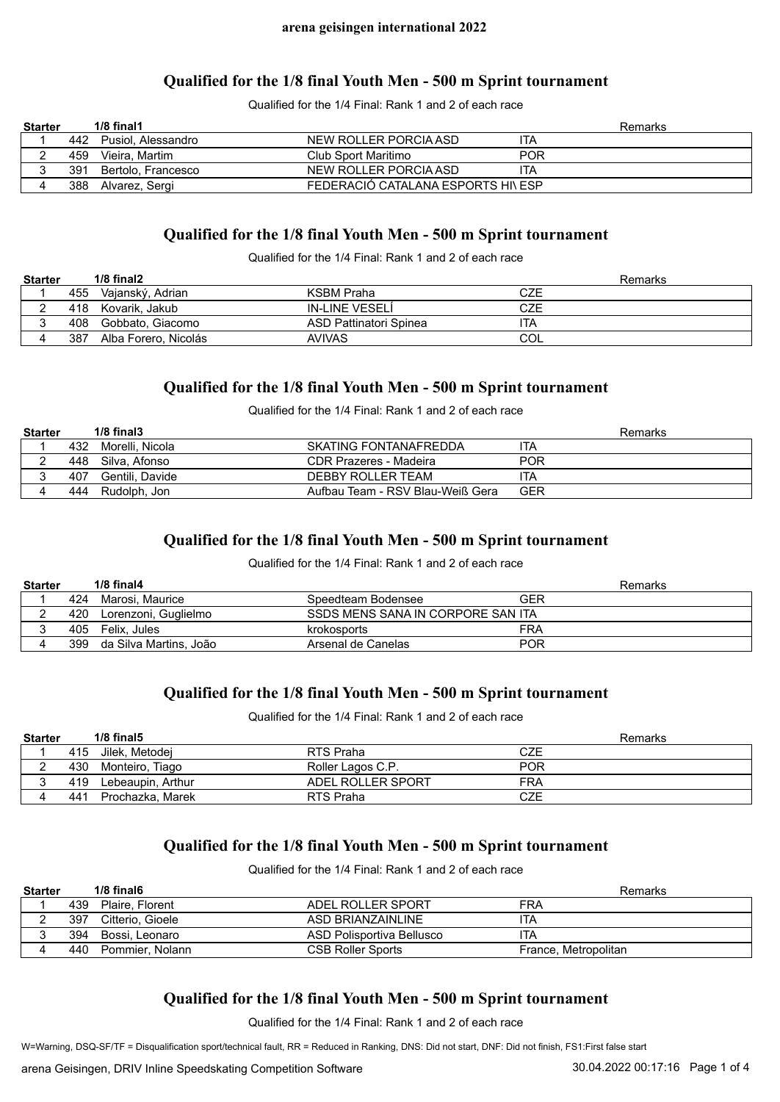### **Qualified for the 1/8 final Youth Men - 500 m Sprint tournament**

Qualified for the 1/4 Final: Rank 1 and 2 of each race

| <b>Starter</b> |     | $1/8$ final $1$        |                                    |            | Remarks |
|----------------|-----|------------------------|------------------------------------|------------|---------|
|                |     | 442 Pusiol, Alessandro | NEW ROLLER PORCIA ASD              | ITA        |         |
|                | 459 | Vieira. Martim         | Club Sport Maritimo                | <b>POR</b> |         |
|                | 391 | Bertolo, Francesco     | NEW ROLLER PORCIA ASD              | ITA        |         |
|                | 388 | Alvarez, Sergi         | FEDERACIÓ CATALANA ESPORTS HI\ ESP |            |         |

# **Qualified for the 1/8 final Youth Men - 500 m Sprint tournament**

Qualified for the 1/4 Final: Rank 1 and 2 of each race

| <b>Starter</b> |     | $1/8$ final $2$      |                        | Remarks |
|----------------|-----|----------------------|------------------------|---------|
|                | 455 | Vajanský, Adrian     | KSBM Praha             | CZE     |
|                | 418 | Kovarik. Jakub       | IN-LINE VESELI         | CZE     |
|                | 408 | Gobbato. Giacomo     | ASD Pattinatori Spinea | ita     |
|                | 387 | Alba Forero, Nicolás | <b>AVIVAS</b>          | COL     |

### **Qualified for the 1/8 final Youth Men - 500 m Sprint tournament**

Qualified for the 1/4 Final: Rank 1 and 2 of each race

| <b>Starter</b> |     | $1/8$ final $3$  |                                  | Remarks    |
|----------------|-----|------------------|----------------------------------|------------|
|                | 432 | Morelli. Nicola  | SKATING FONTANAFREDDA            | ita        |
|                | 448 | Silva. Afonso    | CDR Prazeres - Madeira           | <b>POR</b> |
|                | 407 | Gentili. Davide  | DEBBY ROLLER TEAM                | ITA        |
|                |     | 444 Rudolph, Jon | Aufbau Team - RSV Blau-Weiß Gera | GER        |

### **Qualified for the 1/8 final Youth Men - 500 m Sprint tournament**

#### Qualified for the 1/4 Final: Rank 1 and 2 of each race

| <b>Starter</b> |     | $1/8$ final4           |                                   |     | Remarks |
|----------------|-----|------------------------|-----------------------------------|-----|---------|
|                | 424 | Marosi. Maurice        | Speedteam Bodensee                | GER |         |
|                | 420 | Lorenzoni, Guglielmo   | SSDS MENS SANA IN CORPORE SAN ITA |     |         |
|                | 405 | Felix. Jules           | krokosports                       | FRA |         |
|                | 399 | da Silva Martins. João | Arsenal de Canelas                | POR |         |

# **Qualified for the 1/8 final Youth Men - 500 m Sprint tournament**

Qualified for the 1/4 Final: Rank 1 and 2 of each race

| <b>Starter</b> |     | $1/8$ final $5$   |                   | Remarks    |
|----------------|-----|-------------------|-------------------|------------|
|                | 415 | Jilek. Metodei    | RTS Praha         | CZE        |
| _              | 430 | Monteiro, Tiago   | Roller Lagos C.P. | <b>POR</b> |
| ື              | 419 | Lebeaupin, Arthur | ADEL ROLLER SPORT | FRA        |
| д              | 441 | Prochazka, Marek  | RTS Praha         | CZE        |

# **Qualified for the 1/8 final Youth Men - 500 m Sprint tournament**

Qualified for the 1/4 Final: Rank 1 and 2 of each race

| <b>Starter</b> |     | $1/8$ final 6    |                           | Remarks              |
|----------------|-----|------------------|---------------------------|----------------------|
|                | 439 | Plaire, Florent  | ADEL ROLLER SPORT         | <b>FRA</b>           |
|                | 397 | Citterio, Gioele | ASD BRIANZAINI INF        | ITA                  |
|                | 394 | Bossi. Leonaro   | ASD Polisportiva Bellusco | ITA                  |
|                | 440 | Pommier, Nolann  | <b>CSB Roller Sports</b>  | France, Metropolitan |

# **Qualified for the 1/8 final Youth Men - 500 m Sprint tournament**

Qualified for the 1/4 Final: Rank 1 and 2 of each race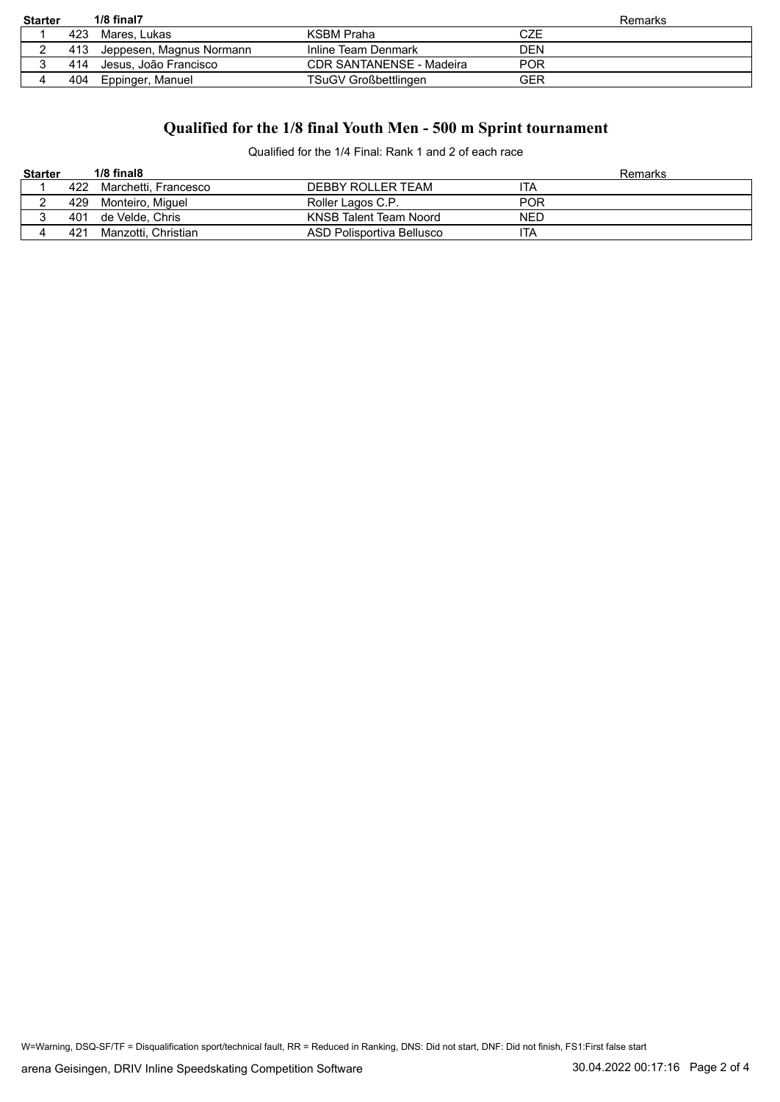| <b>Starter</b> |     | $1/8$ final $7$          |                                 | Remarks    |
|----------------|-----|--------------------------|---------------------------------|------------|
|                | 423 | Mares. Lukas             | KSBM Praha                      | CZE        |
|                | 413 | Jeppesen, Magnus Normann | Inline Team Denmark             | DEN        |
|                | 414 | Jesus. João Francisco    | <b>CDR SANTANENSE - Madeira</b> | <b>POR</b> |
|                | 404 | Eppinger, Manuel         | TSuGV Großbettlingen            | GER        |

# **Qualified for the 1/8 final Youth Men - 500 m Sprint tournament**

Qualified for the 1/4 Final: Rank 1 and 2 of each race

| <b>Starter</b> |     | $1/8$ final $8$      |                           | Remarks    |
|----------------|-----|----------------------|---------------------------|------------|
|                | 422 | Marchetti. Francesco | DEBBY ROLLER TEAM         | TA         |
|                |     | 429 Monteiro, Miguel | Roller Lagos C.P.         | <b>POR</b> |
|                | 401 | de Velde. Chris      | KNSB Talent Team Noord    | <b>NED</b> |
|                | 421 | Manzotti, Christian  | ASD Polisportiva Bellusco | ITA        |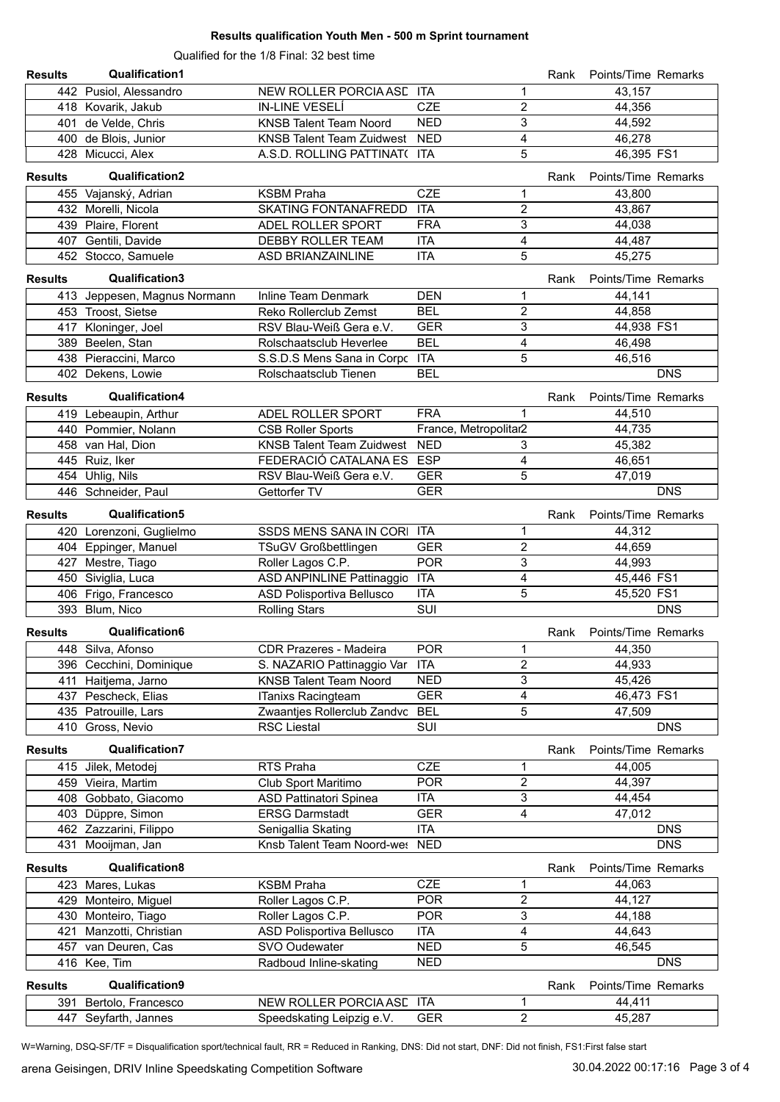#### **Results qualification Youth Men - 500 m Sprint tournament**

Qualified for the 1/8 Final: 32 best time

| <b>Results</b> | <b>Qualification1</b>        |                                  |                          |                         | Rank | Points/Time Remarks |                          |
|----------------|------------------------------|----------------------------------|--------------------------|-------------------------|------|---------------------|--------------------------|
|                | 442 Pusiol, Alessandro       | NEW ROLLER PORCIA ASE ITA        |                          | 1                       |      | 43,157              |                          |
|                | 418 Kovarik, Jakub           | <b>IN-LINE VESELI</b>            | <b>CZE</b>               | $\overline{2}$          |      | 44,356              |                          |
|                | 401 de Velde, Chris          | <b>KNSB Talent Team Noord</b>    | <b>NED</b>               | 3                       |      | 44,592              |                          |
|                | 400 de Blois, Junior         | <b>KNSB Talent Team Zuidwest</b> | <b>NED</b>               | 4                       |      | 46,278              |                          |
|                | 428 Micucci, Alex            | A.S.D. ROLLING PATTINAT( ITA     |                          | 5                       |      | 46,395 FS1          |                          |
| <b>Results</b> | <b>Qualification2</b>        |                                  |                          |                         | Rank | Points/Time Remarks |                          |
|                | 455 Vajanský, Adrian         | <b>KSBM Praha</b>                | <b>CZE</b>               | 1                       |      | 43,800              |                          |
|                | 432 Morelli, Nicola          | <b>SKATING FONTANAFREDD</b>      | <b>ITA</b>               | $\overline{2}$          |      | 43,867              |                          |
|                | 439 Plaire, Florent          | ADEL ROLLER SPORT                | <b>FRA</b>               | 3                       |      | 44.038              |                          |
|                | 407 Gentili, Davide          | DEBBY ROLLER TEAM                | <b>ITA</b>               | 4                       |      | 44,487              |                          |
|                | 452 Stocco, Samuele          | <b>ASD BRIANZAINLINE</b>         | <b>ITA</b>               | 5                       |      | 45,275              |                          |
| <b>Results</b> | Qualification3               |                                  |                          |                         | Rank | Points/Time Remarks |                          |
|                | 413 Jeppesen, Magnus Normann | Inline Team Denmark              | <b>DEN</b>               | 1                       |      | 44,141              |                          |
|                | 453 Troost, Sietse           | Reko Rollerclub Zemst            | <b>BEL</b>               | 2                       |      | 44,858              |                          |
|                | 417 Kloninger, Joel          | RSV Blau-Weiß Gera e.V.          | <b>GER</b>               | 3                       |      | 44,938 FS1          |                          |
|                | 389 Beelen, Stan             | Rolschaatsclub Heverlee          | <b>BEL</b>               | 4                       |      | 46,498              |                          |
|                | 438 Pieraccini, Marco        | S.S.D.S Mens Sana in Corpc ITA   |                          | 5                       |      | 46,516              |                          |
|                | 402 Dekens, Lowie            | Rolschaatsclub Tienen            | <b>BEL</b>               |                         |      |                     | <b>DNS</b>               |
|                |                              |                                  |                          |                         |      |                     |                          |
| <b>Results</b> | Qualification4               |                                  |                          |                         | Rank | Points/Time Remarks |                          |
|                | 419 Lebeaupin, Arthur        | ADEL ROLLER SPORT                | <b>FRA</b>               | 1                       |      | 44,510              |                          |
|                | 440 Pommier, Nolann          | <b>CSB Roller Sports</b>         | France, Metropolitar2    |                         |      | 44,735              |                          |
|                | 458 van Hal, Dion            | <b>KNSB Talent Team Zuidwest</b> | <b>NED</b>               | 3                       |      | 45,382              |                          |
|                | 445 Ruiz, Iker               | FEDERACIÓ CATALANA ES            | <b>ESP</b>               | 4                       |      | 46,651              |                          |
|                | 454 Uhlig, Nils              | RSV Blau-Weiß Gera e.V.          | <b>GER</b>               | 5                       |      | 47,019              |                          |
|                | 446 Schneider, Paul          | Gettorfer TV                     | <b>GER</b>               |                         |      |                     | <b>DNS</b>               |
| <b>Results</b> | Qualification5               |                                  |                          |                         | Rank | Points/Time Remarks |                          |
|                | 420 Lorenzoni, Guglielmo     | SSDS MENS SANA IN CORI ITA       |                          | 1                       |      | 44,312              |                          |
|                | 404 Eppinger, Manuel         | TSuGV Großbettlingen             | <b>GER</b>               | $\overline{2}$          |      | 44,659              |                          |
|                | 427 Mestre, Tiago            | Roller Lagos C.P.                | <b>POR</b>               | 3                       |      | 44,993              |                          |
|                | 450 Siviglia, Luca           | ASD ANPINLINE Pattinaggio ITA    |                          | 4                       |      | 45,446 FS1          |                          |
|                | 406 Frigo, Francesco         | ASD Polisportiva Bellusco        | <b>ITA</b>               | 5                       |      | 45,520 FS1          |                          |
|                | 393 Blum, Nico               | <b>Rolling Stars</b>             | SUI                      |                         |      |                     | <b>DNS</b>               |
| <b>Results</b> | Qualification6               |                                  |                          |                         | Rank | Points/Time Remarks |                          |
|                | 448 Silva, Afonso            | <b>CDR Prazeres - Madeira</b>    | <b>POR</b>               | 1                       |      | 44,350              |                          |
|                | 396 Cecchini, Dominique      | S. NAZARIO Pattinaggio Var ITA   |                          | $\overline{c}$          |      | 44,933              |                          |
|                | 411 Haitjema, Jarno          | <b>KNSB Talent Team Noord</b>    | <b>NED</b>               | 3                       |      | 45,426              |                          |
|                | 437 Pescheck, Elias          | <b>ITanixs Racingteam</b>        | <b>GER</b>               | 4                       |      | 46,473 FS1          |                          |
|                | 435 Patrouille, Lars         | Zwaantjes Rollerclub Zandvc      | <b>BEL</b>               | 5                       |      | 47,509              |                          |
|                | 410 Gross, Nevio             | <b>RSC Liestal</b>               | SUI                      |                         |      |                     | <b>DNS</b>               |
|                |                              |                                  |                          |                         |      |                     |                          |
| <b>Results</b> | <b>Qualification7</b>        |                                  |                          |                         | Rank | Points/Time Remarks |                          |
|                | 415 Jilek, Metodej           | RTS Praha                        | <b>CZE</b>               | 1                       |      | 44,005              |                          |
|                | 459 Vieira, Martim           | Club Sport Maritimo              | <b>POR</b>               | $\overline{\mathbf{c}}$ |      | 44,397              |                          |
|                | 408 Gobbato, Giacomo         | <b>ASD Pattinatori Spinea</b>    | <b>ITA</b>               | 3                       |      | 44,454              |                          |
|                | 403 Düppre, Simon            | <b>ERSG Darmstadt</b>            | <b>GER</b>               | 4                       |      | 47,012              |                          |
|                | 462 Zazzarini, Filippo       | Senigallia Skating               | <b>ITA</b><br><b>NED</b> |                         |      |                     | <b>DNS</b><br><b>DNS</b> |
|                | 431 Mooijman, Jan            | Knsb Talent Team Noord-wes       |                          |                         |      |                     |                          |
| <b>Results</b> | Qualification8               |                                  |                          |                         | Rank | Points/Time Remarks |                          |
| 423            | Mares, Lukas                 | <b>KSBM Praha</b>                | <b>CZE</b>               | 1                       |      | 44,063              |                          |
| 429            | Monteiro, Miguel             | Roller Lagos C.P.                | <b>POR</b>               | 2                       |      | 44,127              |                          |
|                | 430 Monteiro, Tiago          | Roller Lagos C.P.                | <b>POR</b>               | 3                       |      | 44,188              |                          |
| 421            | Manzotti, Christian          | ASD Polisportiva Bellusco        | <b>ITA</b>               | 4                       |      | 44,643              |                          |
|                | 457 van Deuren, Cas          | SVO Oudewater                    | <b>NED</b>               | 5                       |      | 46,545              |                          |
|                | 416 Kee, Tim                 | Radboud Inline-skating           | <b>NED</b>               |                         |      |                     | <b>DNS</b>               |
| <b>Results</b> | Qualification9               |                                  |                          |                         | Rank | Points/Time Remarks |                          |
| 391            | Bertolo, Francesco           | NEW ROLLER PORCIA ASE ITA        |                          | 1                       |      | 44,411              |                          |
|                | Seyfarth, Jannes<br>447      | Speedskating Leipzig e.V.        | <b>GER</b>               | $\overline{2}$          |      | 45,287              |                          |